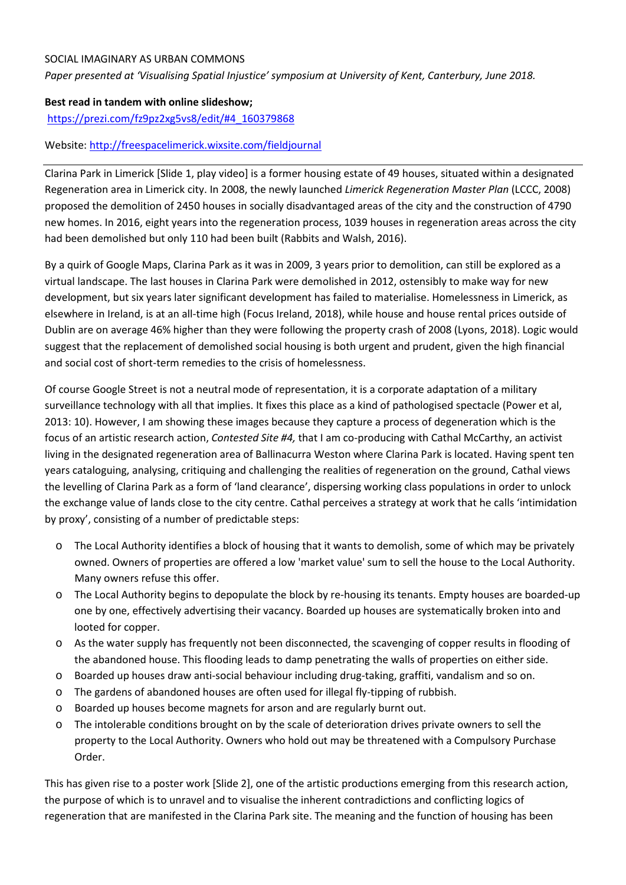## SOCIAL IMAGINARY AS URBAN COMMONS

*Paper presented at 'Visualising Spatial Injustice' symposium at University of Kent, Canterbury, June 2018.* 

## **Best read in tandem with online slideshow;**

[https://prezi.com/fz9pz2xg5vs8/edit/#4\\_160379868](https://prezi.com/fz9pz2xg5vs8/edit/#4_160379868)

## Website:<http://freespacelimerick.wixsite.com/fieldjournal>

Clarina Park in Limerick [Slide 1, play video] is a former housing estate of 49 houses, situated within a designated Regeneration area in Limerick city. In 2008, the newly launched *Limerick Regeneration Master Plan* (LCCC, 2008) proposed the demolition of 2450 houses in socially disadvantaged areas of the city and the construction of 4790 new homes. In 2016, eight years into the regeneration process, 1039 houses in regeneration areas across the city had been demolished but only 110 had been built (Rabbits and Walsh, 2016).

By a quirk of Google Maps, Clarina Park as it was in 2009, 3 years prior to demolition, can still be explored as a virtual landscape. The last houses in Clarina Park were demolished in 2012, ostensibly to make way for new development, but six years later significant development has failed to materialise. Homelessness in Limerick, as elsewhere in Ireland, is at an all-time high (Focus Ireland, 2018), while house and house rental prices outside of Dublin are on average 46% higher than they were following the property crash of 2008 (Lyons, 2018). Logic would suggest that the replacement of demolished social housing is both urgent and prudent, given the high financial and social cost of short-term remedies to the crisis of homelessness.

Of course Google Street is not a neutral mode of representation, it is a corporate adaptation of a military surveillance technology with all that implies. It fixes this place as a kind of pathologised spectacle (Power et al, 2013: 10). However, I am showing these images because they capture a process of degeneration which is the focus of an artistic research action, *Contested Site #4,* that I am co-producing with Cathal McCarthy, an activist living in the designated regeneration area of Ballinacurra Weston where Clarina Park is located. Having spent ten years cataloguing, analysing, critiquing and challenging the realities of regeneration on the ground, Cathal views the levelling of Clarina Park as a form of 'land clearance', dispersing working class populations in order to unlock the exchange value of lands close to the city centre. Cathal perceives a strategy at work that he calls 'intimidation by proxy', consisting of a number of predictable steps:

- o The Local Authority identifies a block of housing that it wants to demolish, some of which may be privately owned. Owners of properties are offered a low 'market value' sum to sell the house to the Local Authority. Many owners refuse this offer.
- o The Local Authority begins to depopulate the block by re-housing its tenants. Empty houses are boarded-up one by one, effectively advertising their vacancy. Boarded up houses are systematically broken into and looted for copper.
- o As the water supply has frequently not been disconnected, the scavenging of copper results in flooding of the abandoned house. This flooding leads to damp penetrating the walls of properties on either side.
- o Boarded up houses draw anti-social behaviour including drug-taking, graffiti, vandalism and so on.
- o The gardens of abandoned houses are often used for illegal fly-tipping of rubbish.
- o Boarded up houses become magnets for arson and are regularly burnt out.
- o The intolerable conditions brought on by the scale of deterioration drives private owners to sell the property to the Local Authority. Owners who hold out may be threatened with a Compulsory Purchase Order.

This has given rise to a poster work [Slide 2], one of the artistic productions emerging from this research action, the purpose of which is to unravel and to visualise the inherent contradictions and conflicting logics of regeneration that are manifested in the Clarina Park site. The meaning and the function of housing has been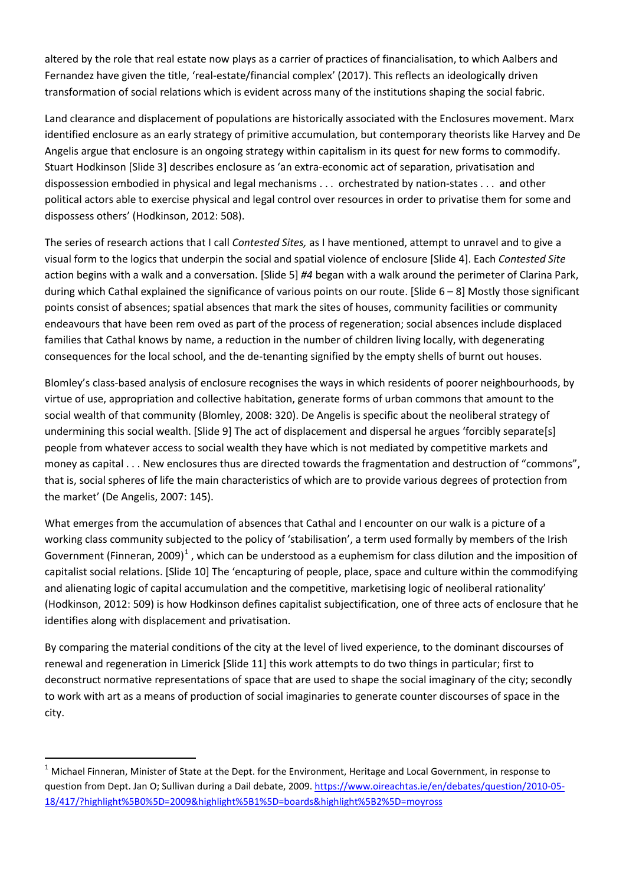altered by the role that real estate now plays as a carrier of practices of financialisation, to which Aalbers and Fernandez have given the title, 'real-estate/financial complex' (2017). This reflects an ideologically driven transformation of social relations which is evident across many of the institutions shaping the social fabric.

Land clearance and displacement of populations are historically associated with the Enclosures movement. Marx identified enclosure as an early strategy of primitive accumulation, but contemporary theorists like Harvey and De Angelis argue that enclosure is an ongoing strategy within capitalism in its quest for new forms to commodify. Stuart Hodkinson [Slide 3] describes enclosure as 'an extra-economic act of separation, privatisation and dispossession embodied in physical and legal mechanisms . . . orchestrated by nation-states . . . and other political actors able to exercise physical and legal control over resources in order to privatise them for some and dispossess others' (Hodkinson, 2012: 508).

The series of research actions that I call *Contested Sites,* as I have mentioned, attempt to unravel and to give a visual form to the logics that underpin the social and spatial violence of enclosure [Slide 4]. Each *Contested Site*  action begins with a walk and a conversation. [Slide 5] *#4* began with a walk around the perimeter of Clarina Park, during which Cathal explained the significance of various points on our route. [Slide 6 – 8] Mostly those significant points consist of absences; spatial absences that mark the sites of houses, community facilities or community endeavours that have been rem oved as part of the process of regeneration; social absences include displaced families that Cathal knows by name, a reduction in the number of children living locally, with degenerating consequences for the local school, and the de-tenanting signified by the empty shells of burnt out houses.

Blomley's class-based analysis of enclosure recognises the ways in which residents of poorer neighbourhoods, by virtue of use, appropriation and collective habitation, generate forms of urban commons that amount to the social wealth of that community (Blomley, 2008: 320). De Angelis is specific about the neoliberal strategy of undermining this social wealth. [Slide 9] The act of displacement and dispersal he argues 'forcibly separate[s] people from whatever access to social wealth they have which is not mediated by competitive markets and money as capital . . . New enclosures thus are directed towards the fragmentation and destruction of "commons", that is, social spheres of life the main characteristics of which are to provide various degrees of protection from the market' (De Angelis, 2007: 145).

What emerges from the accumulation of absences that Cathal and I encounter on our walk is a picture of a working class community subjected to the policy of 'stabilisation', a term used formally by members of the Irish Government (Finneran, 2009)<sup>[1](#page-1-0)</sup>, which can be understood as a euphemism for class dilution and the imposition of capitalist social relations. [Slide 10] The 'encapturing of people, place, space and culture within the commodifying and alienating logic of capital accumulation and the competitive, marketising logic of neoliberal rationality' (Hodkinson, 2012: 509) is how Hodkinson defines capitalist subjectification, one of three acts of enclosure that he identifies along with displacement and privatisation.

By comparing the material conditions of the city at the level of lived experience, to the dominant discourses of renewal and regeneration in Limerick [Slide 11] this work attempts to do two things in particular; first to deconstruct normative representations of space that are used to shape the social imaginary of the city; secondly to work with art as a means of production of social imaginaries to generate counter discourses of space in the city.

<span id="page-1-0"></span> $1$  Michael Finneran, Minister of State at the Dept. for the Environment, Heritage and Local Government, in response to question from Dept. Jan O; Sullivan during a Dail debate, 2009[. https://www.oireachtas.ie/en/debates/question/2010-05-](https://www.oireachtas.ie/en/debates/question/2010-05-18/417/?highlight%5B0%5D=2009&highlight%5B1%5D=boards&highlight%5B2%5D=moyross) [18/417/?highlight%5B0%5D=2009&highlight%5B1%5D=boards&highlight%5B2%5D=moyross](https://www.oireachtas.ie/en/debates/question/2010-05-18/417/?highlight%5B0%5D=2009&highlight%5B1%5D=boards&highlight%5B2%5D=moyross)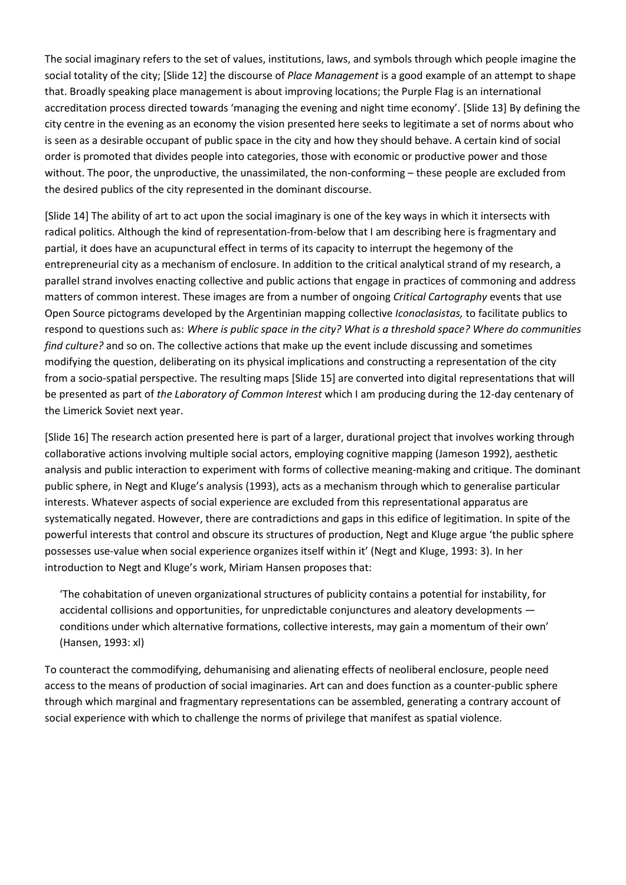The social imaginary refers to the set of values, institutions, laws, and symbols through which people imagine the social totality of the city; [Slide 12] the discourse of *Place Management* is a good example of an attempt to shape that. Broadly speaking place management is about improving locations; the Purple Flag is an international accreditation process directed towards 'managing the evening and night time economy'. [Slide 13] By defining the city centre in the evening as an economy the vision presented here seeks to legitimate a set of norms about who is seen as a desirable occupant of public space in the city and how they should behave. A certain kind of social order is promoted that divides people into categories, those with economic or productive power and those without. The poor, the unproductive, the unassimilated, the non-conforming – these people are excluded from the desired publics of the city represented in the dominant discourse.

[Slide 14] The ability of art to act upon the social imaginary is one of the key ways in which it intersects with radical politics. Although the kind of representation-from-below that I am describing here is fragmentary and partial, it does have an acupunctural effect in terms of its capacity to interrupt the hegemony of the entrepreneurial city as a mechanism of enclosure. In addition to the critical analytical strand of my research, a parallel strand involves enacting collective and public actions that engage in practices of commoning and address matters of common interest. These images are from a number of ongoing *Critical Cartography* events that use Open Source pictograms developed by the Argentinian mapping collective *Iconoclasistas,* to facilitate publics to respond to questions such as: *Where is public space in the city? What is a threshold space? Where do communities find culture?* and so on. The collective actions that make up the event include discussing and sometimes modifying the question, deliberating on its physical implications and constructing a representation of the city from a socio-spatial perspective. The resulting maps [Slide 15] are converted into digital representations that will be presented as part of *the Laboratory of Common Interest* which I am producing during the 12-day centenary of the Limerick Soviet next year.

[Slide 16] The research action presented here is part of a larger, durational project that involves working through collaborative actions involving multiple social actors, employing cognitive mapping (Jameson 1992), aesthetic analysis and public interaction to experiment with forms of collective meaning-making and critique. The dominant public sphere, in Negt and Kluge's analysis (1993), acts as a mechanism through which to generalise particular interests. Whatever aspects of social experience are excluded from this representational apparatus are systematically negated. However, there are contradictions and gaps in this edifice of legitimation. In spite of the powerful interests that control and obscure its structures of production, Negt and Kluge argue 'the public sphere possesses use-value when social experience organizes itself within it' (Negt and Kluge, 1993: 3). In her introduction to Negt and Kluge's work, Miriam Hansen proposes that:

'The cohabitation of uneven organizational structures of publicity contains a potential for instability, for accidental collisions and opportunities, for unpredictable conjunctures and aleatory developments conditions under which alternative formations, collective interests, may gain a momentum of their own' (Hansen, 1993: xl)

To counteract the commodifying, dehumanising and alienating effects of neoliberal enclosure, people need access to the means of production of social imaginaries. Art can and does function as a counter-public sphere through which marginal and fragmentary representations can be assembled, generating a contrary account of social experience with which to challenge the norms of privilege that manifest as spatial violence.